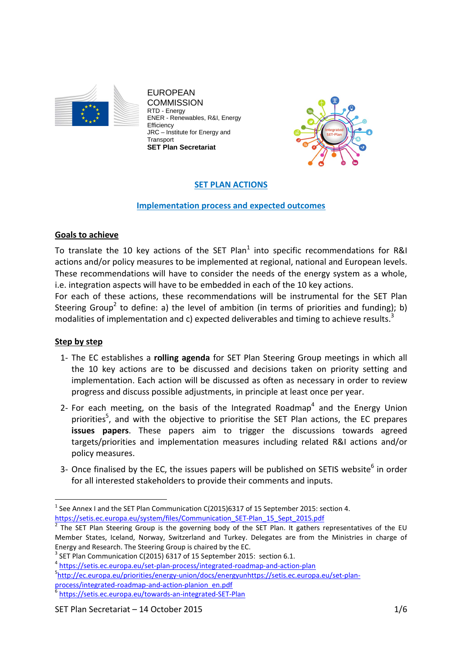

EUROPEAN **COMMISSION** RTD - Energy ENER - Renewables, R&I, Energy **Efficiency** JRC – Institute for Energy and **Transport SET Plan Secretariat** 



# **SET PLAN ACTIONS**

### **Implementation process and expected outcomes**

## **Goals to achieve**

To translate the 10 key actions of the SET Plan<sup>1</sup> into specific recommendations for R&I actions and/or policy measures to be implemented at regional, national and European levels. These recommendations will have to consider the needs of the energy system as a whole, i.e. integration aspects will have to be embedded in each of the 10 key actions.

For each of these actions, these recommendations will be instrumental for the SET Plan Steering Group<sup>2</sup> to define: a) the level of ambition (in terms of priorities and funding); b) modalities of implementation and c) expected deliverables and timing to achieve results.<sup>3</sup>

## **Step by step**

 $\overline{a}$ 

- 1- The EC establishes a **rolling agenda** for SET Plan Steering Group meetings in which all the 10 key actions are to be discussed and decisions taken on priority setting and implementation. Each action will be discussed as often as necessary in order to review progress and discuss possible adjustments, in principle at least once per year.
- 2- For each meeting, on the basis of the Integrated Roadmap<sup>4</sup> and the Energy Union priorities<sup>5</sup>, and with the objective to prioritise the SET Plan actions, the EC prepares **issues papers**. These papers aim to trigger the discussions towards agreed targets/priorities and implementation measures including related R&I actions and/or policy measures.
- 3- Once finalised by the EC, the issues papers will be published on SETIS website<sup>6</sup> in order for all interested stakeholders to provide their comments and inputs.

 $<sup>1</sup>$  See Annex I and the SET Plan Communication C(2015)6317 of 15 September 2015: section 4.</sup> https://setis.ec.europa.eu/system/files/Communication\_SET-Plan\_15\_Sept\_2015.pdf

The SET Plan Steering Group is the governing body of the SET Plan. It gathers representatives of the EU Member States, Iceland, Norway, Switzerland and Turkey. Delegates are from the Ministries in charge of Energy and Research. The Steering Group is chaired by the EC.

 $3$  SET Plan Communication C(2015) 6317 of 15 September 2015: section 6.1.

<sup>4</sup> https://setis.ec.europa.eu/set-plan-process/integrated-roadmap-and-action-plan

<sup>5</sup> http://ec.europa.eu/priorities/energy-union/docs/energyunhttps://setis.ec.europa.eu/set-planprocess/integrated-roadmap-and-action-planion\_en.pdf

<sup>6</sup> https://setis.ec.europa.eu/towards-an-integrated-SET-Plan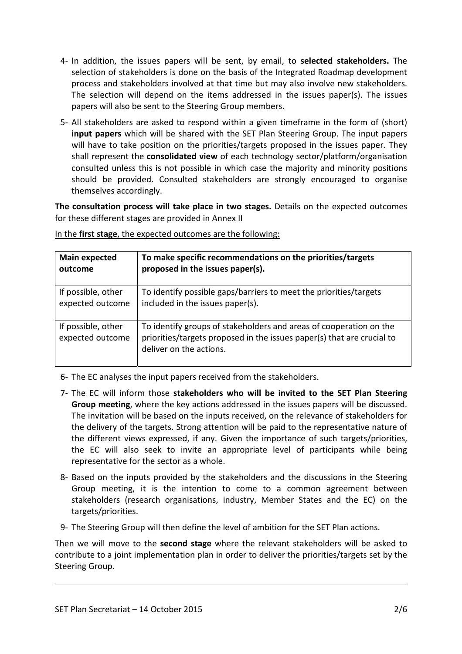- 4- In addition, the issues papers will be sent, by email, to **selected stakeholders.** The selection of stakeholders is done on the basis of the Integrated Roadmap development process and stakeholders involved at that time but may also involve new stakeholders. The selection will depend on the items addressed in the issues paper(s). The issues papers will also be sent to the Steering Group members.
- 5- All stakeholders are asked to respond within a given timeframe in the form of (short) **input papers** which will be shared with the SET Plan Steering Group. The input papers will have to take position on the priorities/targets proposed in the issues paper. They shall represent the **consolidated view** of each technology sector/platform/organisation consulted unless this is not possible in which case the majority and minority positions should be provided. Consulted stakeholders are strongly encouraged to organise themselves accordingly.

**The consultation process will take place in two stages.** Details on the expected outcomes for these different stages are provided in Annex II

| <b>Main expected</b>                   | To make specific recommendations on the priorities/targets                                                                                                              |
|----------------------------------------|-------------------------------------------------------------------------------------------------------------------------------------------------------------------------|
| outcome                                | proposed in the issues paper(s).                                                                                                                                        |
| If possible, other                     | To identify possible gaps/barriers to meet the priorities/targets                                                                                                       |
| expected outcome                       | included in the issues paper(s).                                                                                                                                        |
| If possible, other<br>expected outcome | To identify groups of stakeholders and areas of cooperation on the<br>priorities/targets proposed in the issues paper(s) that are crucial to<br>deliver on the actions. |

In the **first stage**, the expected outcomes are the following:

6- The EC analyses the input papers received from the stakeholders.

- 7- The EC will inform those **stakeholders who will be invited to the SET Plan Steering Group meeting**, where the key actions addressed in the issues papers will be discussed. The invitation will be based on the inputs received, on the relevance of stakeholders for the delivery of the targets. Strong attention will be paid to the representative nature of the different views expressed, if any. Given the importance of such targets/priorities, the EC will also seek to invite an appropriate level of participants while being representative for the sector as a whole.
- 8- Based on the inputs provided by the stakeholders and the discussions in the Steering Group meeting, it is the intention to come to a common agreement between stakeholders (research organisations, industry, Member States and the EC) on the targets/priorities.
- 9- The Steering Group will then define the level of ambition for the SET Plan actions.

Then we will move to the **second stage** where the relevant stakeholders will be asked to contribute to a joint implementation plan in order to deliver the priorities/targets set by the Steering Group.

-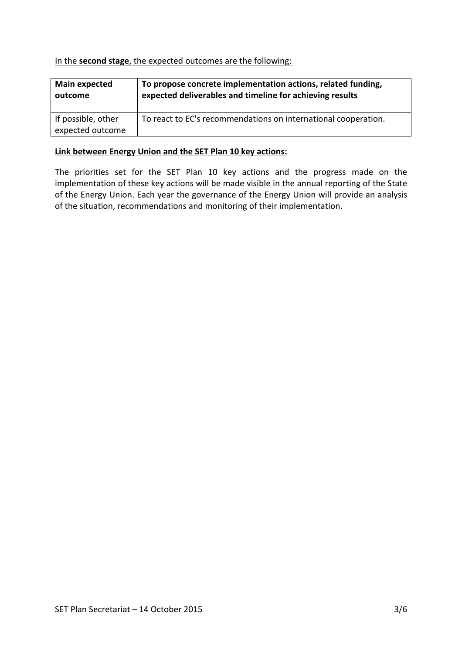### In the **second stage**, the expected outcomes are the following:

| <b>Main expected</b>                   | To propose concrete implementation actions, related funding,   |
|----------------------------------------|----------------------------------------------------------------|
| outcome                                | expected deliverables and timeline for achieving results       |
| If possible, other<br>expected outcome | To react to EC's recommendations on international cooperation. |

### **Link between Energy Union and the SET Plan 10 key actions:**

The priorities set for the SET Plan 10 key actions and the progress made on the implementation of these key actions will be made visible in the annual reporting of the State of the Energy Union. Each year the governance of the Energy Union will provide an analysis of the situation, recommendations and monitoring of their implementation.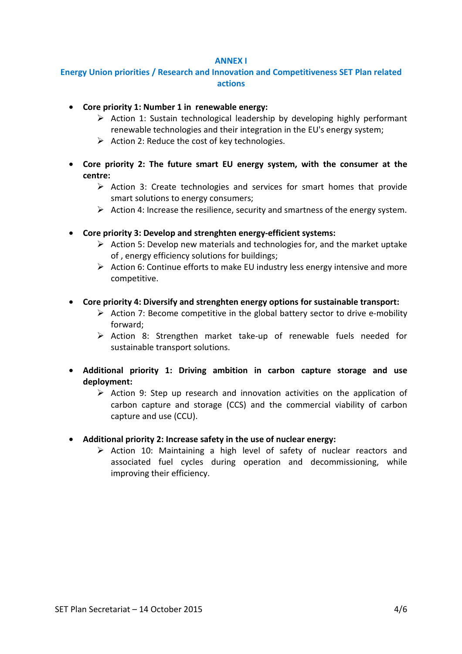#### **ANNEX I**

# **Energy Union priorities / Research and Innovation and Competitiveness SET Plan related actions**

- **Core priority 1: Number 1 in renewable energy:** 
	- $\triangleright$  Action 1: Sustain technological leadership by developing highly performant renewable technologies and their integration in the EU's energy system;
	- $\triangleright$  Action 2: Reduce the cost of key technologies.
- **Core priority 2: The future smart EU energy system, with the consumer at the centre:** 
	- $\triangleright$  Action 3: Create technologies and services for smart homes that provide smart solutions to energy consumers;
	- $\triangleright$  Action 4: Increase the resilience, security and smartness of the energy system.
- **Core priority 3: Develop and strenghten energy-efficient systems:** 
	- $\triangleright$  Action 5: Develop new materials and technologies for, and the market uptake of , energy efficiency solutions for buildings;
	- $\triangleright$  Action 6: Continue efforts to make EU industry less energy intensive and more competitive.
- **Core priority 4: Diversify and strenghten energy options for sustainable transport:** 
	- $\triangleright$  Action 7: Become competitive in the global battery sector to drive e-mobility forward;
	- $\triangleright$  Action 8: Strengthen market take-up of renewable fuels needed for sustainable transport solutions.
- **Additional priority 1: Driving ambition in carbon capture storage and use deployment:** 
	- $\triangleright$  Action 9: Step up research and innovation activities on the application of carbon capture and storage (CCS) and the commercial viability of carbon capture and use (CCU).
- **Additional priority 2: Increase safety in the use of nuclear energy:** 
	- $\triangleright$  Action 10: Maintaining a high level of safety of nuclear reactors and associated fuel cycles during operation and decommissioning, while improving their efficiency.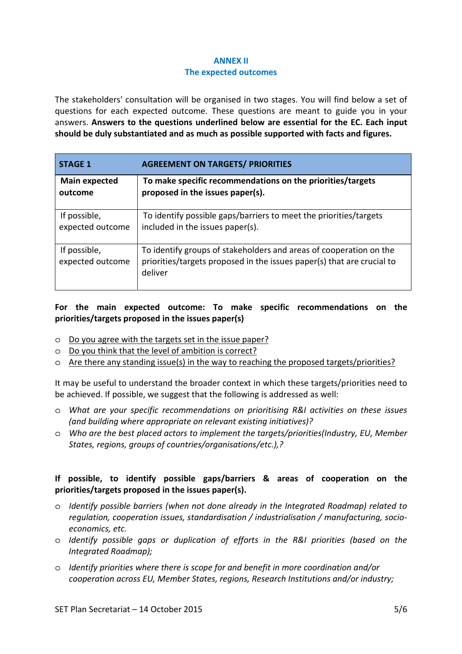### **ANNEX II The expected outcomes**

The stakeholders' consultation will be organised in two stages. You will find below a set of questions for each expected outcome. These questions are meant to guide you in your answers. **Answers to the questions underlined below are essential for the EC. Each input should be duly substantiated and as much as possible supported with facts and figures.**

| <b>STAGE 1</b>                   | <b>AGREEMENT ON TARGETS/ PRIORITIES</b>                                                                                                                 |
|----------------------------------|---------------------------------------------------------------------------------------------------------------------------------------------------------|
| <b>Main expected</b>             | To make specific recommendations on the priorities/targets                                                                                              |
| outcome                          | proposed in the issues paper(s).                                                                                                                        |
| If possible,                     | To identify possible gaps/barriers to meet the priorities/targets                                                                                       |
| expected outcome                 | included in the issues paper(s).                                                                                                                        |
| If possible,<br>expected outcome | To identify groups of stakeholders and areas of cooperation on the<br>priorities/targets proposed in the issues paper(s) that are crucial to<br>deliver |

# **For the main expected outcome: To make specific recommendations on the priorities/targets proposed in the issues paper(s)**

- o Do you agree with the targets set in the issue paper?
- o Do you think that the level of ambition is correct?
- o Are there any standing issue(s) in the way to reaching the proposed targets/priorities?

It may be useful to understand the broader context in which these targets/priorities need to be achieved. If possible, we suggest that the following is addressed as well:

- o *What are your specific recommendations on prioritising R&I activities on these issues (and building where appropriate on relevant existing initiatives)?*
- o *Who are the best placed actors to implement the targets/priorities(Industry, EU, Member States, regions, groups of countries/organisations/etc.),?*

## **If possible, to identify possible gaps/barriers & areas of cooperation on the priorities/targets proposed in the issues paper(s).**

- o *Identify possible barriers (when not done already in the Integrated Roadmap) related to regulation, cooperation issues, standardisation / industrialisation / manufacturing, socioeconomics, etc.*
- o *Identify possible gaps or duplication of efforts in the R&I priorities (based on the Integrated Roadmap);*
- o *Identify priorities where there is scope for and benefit in more coordination and/or cooperation across EU, Member States, regions, Research Institutions and/or industry;*